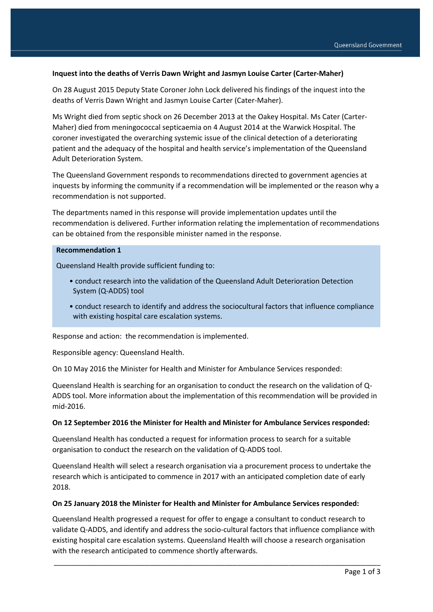## **Inquest into the deaths of Verris Dawn Wright and Jasmyn Louise Carter (Carter-Maher)**

On 28 August 2015 Deputy State Coroner John Lock delivered his findings of the inquest into the deaths of Verris Dawn Wright and Jasmyn Louise Carter (Cater-Maher).

Ms Wright died from septic shock on 26 December 2013 at the Oakey Hospital. Ms Cater (Carter-Maher) died from meningococcal septicaemia on 4 August 2014 at the Warwick Hospital. The coroner investigated the overarching systemic issue of the clinical detection of a deteriorating patient and the adequacy of the hospital and health service's implementation of the Queensland Adult Deterioration System.

The Queensland Government responds to recommendations directed to government agencies at inquests by informing the community if a recommendation will be implemented or the reason why a recommendation is not supported.

The departments named in this response will provide implementation updates until the recommendation is delivered. Further information relating the implementation of recommendations can be obtained from the responsible minister named in the response.

#### **Recommendation 1**

Queensland Health provide sufficient funding to:

- conduct research into the validation of the Queensland Adult Deterioration Detection System (Q-ADDS) tool
- conduct research to identify and address the sociocultural factors that influence compliance with existing hospital care escalation systems.

Response and action: the recommendation is implemented.

Responsible agency: Queensland Health.

On 10 May 2016 the Minister for Health and Minister for Ambulance Services responded:

Queensland Health is searching for an organisation to conduct the research on the validation of Q-ADDS tool. More information about the implementation of this recommendation will be provided in mid-2016.

#### **On 12 September 2016 the Minister for Health and Minister for Ambulance Services responded:**

Queensland Health has conducted a request for information process to search for a suitable organisation to conduct the research on the validation of Q-ADDS tool.

Queensland Health will select a research organisation via a procurement process to undertake the research which is anticipated to commence in 2017 with an anticipated completion date of early 2018.

### **On 25 January 2018 the Minister for Health and Minister for Ambulance Services responded:**

Queensland Health progressed a request for offer to engage a consultant to conduct research to validate Q-ADDS, and identify and address the socio-cultural factors that influence compliance with existing hospital care escalation systems. Queensland Health will choose a research organisation with the research anticipated to commence shortly afterwards.

\_\_\_\_\_\_\_\_\_\_\_\_\_\_\_\_\_\_\_\_\_\_\_\_\_\_\_\_\_\_\_\_\_\_\_\_\_\_\_\_\_\_\_\_\_\_\_\_\_\_\_\_\_\_\_\_\_\_\_\_\_\_\_\_\_\_\_\_\_\_\_\_\_\_\_\_\_\_\_\_\_\_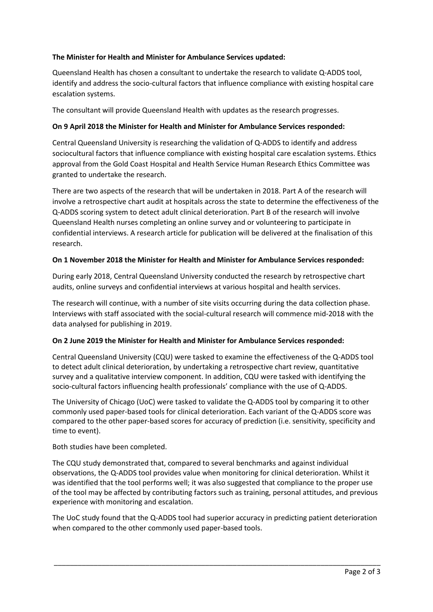# **The Minister for Health and Minister for Ambulance Services updated:**

Queensland Health has chosen a consultant to undertake the research to validate Q-ADDS tool, identify and address the socio-cultural factors that influence compliance with existing hospital care escalation systems.

The consultant will provide Queensland Health with updates as the research progresses.

## **On 9 April 2018 the Minister for Health and Minister for Ambulance Services responded:**

Central Queensland University is researching the validation of Q-ADDS to identify and address sociocultural factors that influence compliance with existing hospital care escalation systems. Ethics approval from the Gold Coast Hospital and Health Service Human Research Ethics Committee was granted to undertake the research.

There are two aspects of the research that will be undertaken in 2018. Part A of the research will involve a retrospective chart audit at hospitals across the state to determine the effectiveness of the Q-ADDS scoring system to detect adult clinical deterioration. Part B of the research will involve Queensland Health nurses completing an online survey and or volunteering to participate in confidential interviews. A research article for publication will be delivered at the finalisation of this research.

## **On 1 November 2018 the Minister for Health and Minister for Ambulance Services responded:**

During early 2018, Central Queensland University conducted the research by retrospective chart audits, online surveys and confidential interviews at various hospital and health services.

The research will continue, with a number of site visits occurring during the data collection phase. Interviews with staff associated with the social-cultural research will commence mid-2018 with the data analysed for publishing in 2019.

# **On 2 June 2019 the Minister for Health and Minister for Ambulance Services responded:**

Central Queensland University (CQU) were tasked to examine the effectiveness of the Q-ADDS tool to detect adult clinical deterioration, by undertaking a retrospective chart review, quantitative survey and a qualitative interview component. In addition, CQU were tasked with identifying the socio-cultural factors influencing health professionals' compliance with the use of Q-ADDS.

The University of Chicago (UoC) were tasked to validate the Q-ADDS tool by comparing it to other commonly used paper-based tools for clinical deterioration. Each variant of the Q-ADDS score was compared to the other paper-based scores for accuracy of prediction (i.e. sensitivity, specificity and time to event).

Both studies have been completed.

The CQU study demonstrated that, compared to several benchmarks and against individual observations, the Q-ADDS tool provides value when monitoring for clinical deterioration. Whilst it was identified that the tool performs well; it was also suggested that compliance to the proper use of the tool may be affected by contributing factors such as training, personal attitudes, and previous experience with monitoring and escalation.

The UoC study found that the Q-ADDS tool had superior accuracy in predicting patient deterioration when compared to the other commonly used paper-based tools.

\_\_\_\_\_\_\_\_\_\_\_\_\_\_\_\_\_\_\_\_\_\_\_\_\_\_\_\_\_\_\_\_\_\_\_\_\_\_\_\_\_\_\_\_\_\_\_\_\_\_\_\_\_\_\_\_\_\_\_\_\_\_\_\_\_\_\_\_\_\_\_\_\_\_\_\_\_\_\_\_\_\_